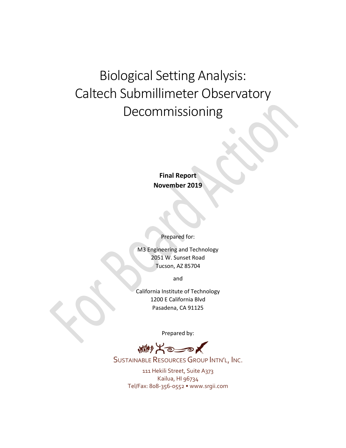# Biological Setting Analysis: Caltech Submillimeter Observatory Decommissioning

# **Final Report November 2019**

Prepared for:

M3 Engineering and Technology 2051 W. Sunset Road Tucson, AZ 85704

and

California Institute of Technology 1200 E California Blvd Pasadena, CA 91125

Prepared by:

、柳光の

SUSTAINABLE RESOURCES GROUP INTN'L, INC.

111 Hekili Street, Suite A373 Kailua, HI 96734 Tel/Fax: 808-356-0552 • www.srgii.com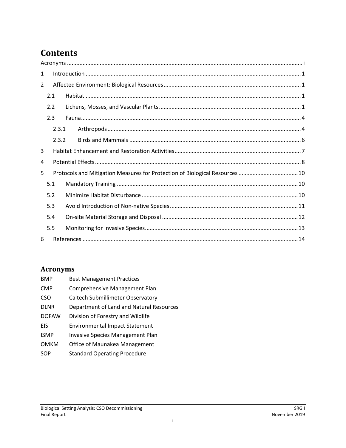# **Contents**

| 1              |       |                                                                              |  |  |  |  |
|----------------|-------|------------------------------------------------------------------------------|--|--|--|--|
| $\overline{2}$ |       |                                                                              |  |  |  |  |
|                | 2.1   |                                                                              |  |  |  |  |
|                | 2.2   |                                                                              |  |  |  |  |
|                | 2.3   |                                                                              |  |  |  |  |
|                | 2.3.1 |                                                                              |  |  |  |  |
|                | 2.3.2 |                                                                              |  |  |  |  |
| 3              |       |                                                                              |  |  |  |  |
| 4              |       |                                                                              |  |  |  |  |
| 5              |       | Protocols and Mitigation Measures for Protection of Biological Resources  10 |  |  |  |  |
|                | 5.1   |                                                                              |  |  |  |  |
|                | 5.2   |                                                                              |  |  |  |  |
|                | 5.3   |                                                                              |  |  |  |  |
| 5.4            |       |                                                                              |  |  |  |  |
|                | 5.5   |                                                                              |  |  |  |  |
| 6              |       |                                                                              |  |  |  |  |

# <span id="page-1-0"></span>**Acronyms**

| <b>BMP</b>   | <b>Best Management Practices</b>         |
|--------------|------------------------------------------|
| <b>CMP</b>   | Comprehensive Management Plan            |
| <b>CSO</b>   | Caltech Submillimeter Observatory        |
| <b>DLNR</b>  | Department of Land and Natural Resources |
| <b>DOFAW</b> | Division of Forestry and Wildlife        |
| EIS          | <b>Environmental Impact Statement</b>    |
| <b>ISMP</b>  | <b>Invasive Species Management Plan</b>  |
| <b>OMKM</b>  | Office of Maunakea Management            |
| SOP          | <b>Standard Operating Procedure</b>      |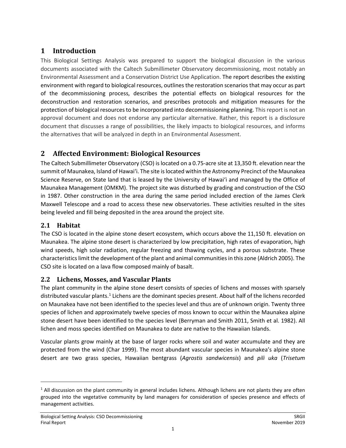# <span id="page-2-0"></span>**1 Introduction**

This Biological Settings Analysis was prepared to support the biological discussion in the various documents associated with the Caltech Submillimeter Observatory decommissioning, most notably an Environmental Assessment and a Conservation District Use Application. The report describes the existing environment with regard to biological resources, outlines the restoration scenarios that may occur as part of the decommissioning process, describes the potential effects on biological resources for the deconstruction and restoration scenarios, and prescribes protocols and mitigation measures for the protection of biological resourcesto be incorporated into decommissioning planning. This report is not an approval document and does not endorse any particular alternative. Rather, this report is a disclosure document that discusses a range of possibilities, the likely impacts to biological resources, and informs the alternatives that will be analyzed in depth in an Environmental Assessment.

# <span id="page-2-1"></span>**2 Affected Environment: Biological Resources**

The Caltech Submillimeter Observatory (CSO) is located on a 0.75-acre site at 13,350 ft. elevation near the summit of Maunakea, Island of Hawai'i. The site is located within the Astronomy Precinct of the Maunakea Science Reserve, on State land that is leased by the University of Hawai'i and managed by the Office of Maunakea Management (OMKM). The project site was disturbed by grading and construction of the CSO in 1987. Other construction in the area during the same period included erection of the James Clerk Maxwell Telescope and a road to access these new observatories. These activities resulted in the sites being leveled and fill being deposited in the area around the project site.

# <span id="page-2-2"></span>**2.1 Habitat**

 $\overline{a}$ 

The CSO is located in the alpine stone desert ecosystem, which occurs above the 11,150 ft. elevation on Maunakea. The alpine stone desert is characterized by low precipitation, high rates of evaporation, high wind speeds, high solar radiation, regular freezing and thawing cycles, and a porous substrate. These characteristics limit the development of the plant and animal communities in this zone (Aldrich 2005). The CSO site is located on a lava flow composed mainly of basalt.

#### <span id="page-2-3"></span>**2.2 Lichens, Mosses, and Vascular Plants**

The plant community in the alpine stone desert consists of species of lichens and mosses with sparsely distributed vascular plants.<sup>[1](#page-2-4)</sup> Lichens are the dominant species present. About half of the lichens recorded on Maunakea have not been identified to the species level and thus are of unknown origin. Twenty three species of lichen and approximately twelve species of moss known to occur within the Maunakea alpine stone desert have been identified to the species level (Berryman and Smith 2011, Smith et al. 1982). All lichen and moss species identified on Maunakea to date are native to the Hawaiian Islands.

Vascular plants grow mainly at the base of larger rocks where soil and water accumulate and they are protected from the wind (Char 1999). The most abundant vascular species in Maunakea's alpine stone desert are two grass species, Hawaiian bentgrass (*Agrostis sandwicensis*) and *pili uka* (*Trisetum* 

<span id="page-2-4"></span> $<sup>1</sup>$  All discussion on the plant community in general includes lichens. Although lichens are not plants they are often</sup> grouped into the vegetative community by land managers for consideration of species presence and effects of management activities.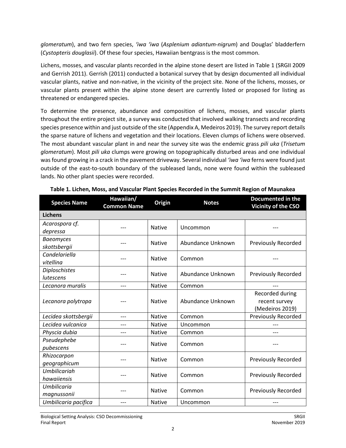*glomeratum*), and two fern species, *'iwa 'iwa* (*Asplenium adiantum-nigrum*) and Douglas' bladderfern (*Cystopteris douglasii*). Of these four species, Hawaiian bentgrass is the most common.

Lichens, mosses, and vascular plants recorded in the alpine stone desert are listed in [Table 1](#page-3-0) (SRGII 2009 and Gerrish 2011). Gerrish (2011) conducted a botanical survey that by design documented all individual vascular plants, native and non-native, in the vicinity of the project site. None of the lichens, mosses, or vascular plants present within the alpine stone desert are currently listed or proposed for listing as threatened or endangered species.

To determine the presence, abundance and composition of lichens, mosses, and vascular plants throughout the entire project site, a survey was conducted that involved walking transects and recording species presence within and just outside of the site (Appendix A, Medeiros 2019). The survey report details the sparse nature of lichens and vegetation and their locations. Eleven clumps of lichens were observed. The most abundant vascular plant in and near the survey site was the endemic grass *pili uka* (*Trisetum glomeratum*). Most *pili uka* clumps were growing on topographically disturbed areas and one individual was found growing in a crack in the pavement driveway. Several individual *'iwa 'iwa* ferns were found just outside of the east-to-south boundary of the subleased lands, none were found within the subleased lands. No other plant species were recorded.

<span id="page-3-0"></span>

| <b>Species Name</b>  | Hawaiian/<br><b>Common Name</b> | Origin        | <b>Notes</b>      | <b>Documented in the</b><br>Vicinity of the CSO |  |  |
|----------------------|---------------------------------|---------------|-------------------|-------------------------------------------------|--|--|
| <b>Lichens</b>       |                                 |               |                   |                                                 |  |  |
| Acarospora cf.       | ---                             | <b>Native</b> | Uncommon          |                                                 |  |  |
| depressa             |                                 |               |                   |                                                 |  |  |
| <b>Baeomyces</b>     |                                 | <b>Native</b> | Abundance Unknown | Previously Recorded                             |  |  |
| skottsbergii         |                                 |               |                   |                                                 |  |  |
| Candelariella        |                                 | <b>Native</b> | Common            |                                                 |  |  |
| vitellina            |                                 |               |                   |                                                 |  |  |
| Diploschistes        |                                 | <b>Native</b> | Abundance Unknown | <b>Previously Recorded</b>                      |  |  |
| lutescens            |                                 |               |                   |                                                 |  |  |
| Lecanora muralis     | ---                             | <b>Native</b> | Common            |                                                 |  |  |
|                      |                                 | <b>Native</b> | Abundance Unknown | Recorded during                                 |  |  |
| Lecanora polytropa   |                                 |               |                   | recent survey                                   |  |  |
|                      |                                 |               |                   | (Medeiros 2019)                                 |  |  |
| Lecidea skottsbergii | ---                             | <b>Native</b> | Common            | Previously Recorded                             |  |  |
| Lecidea vulcanica    |                                 | <b>Native</b> | Uncommon          |                                                 |  |  |
| Physcia dubia        | ---                             | <b>Native</b> | Common            | ---                                             |  |  |
| Pseudephebe          |                                 | <b>Native</b> | Common            |                                                 |  |  |
| pubescens            |                                 |               |                   |                                                 |  |  |
| Rhizocarpon          |                                 | <b>Native</b> | Common            | <b>Previously Recorded</b>                      |  |  |
| geographicum         |                                 |               |                   |                                                 |  |  |
| Umbilicariah         |                                 | <b>Native</b> | Common            | <b>Previously Recorded</b>                      |  |  |
| hawaiiensis          |                                 |               |                   |                                                 |  |  |
| <b>Umbilicaria</b>   |                                 | <b>Native</b> | Common            | <b>Previously Recorded</b>                      |  |  |
| magnussonii          |                                 |               |                   |                                                 |  |  |
| Umbilicaria pacifica | ---                             | <b>Native</b> | Uncommon          |                                                 |  |  |

|  | Table 1. Lichen, Moss, and Vascular Plant Species Recorded in the Summit Region of Maunakea |  |  |
|--|---------------------------------------------------------------------------------------------|--|--|
|  |                                                                                             |  |  |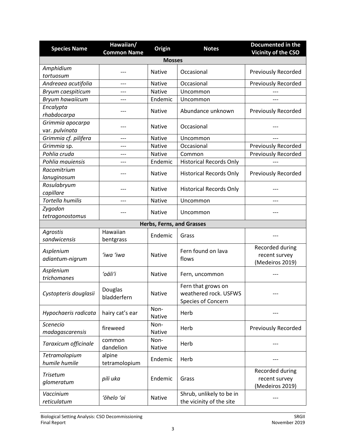| <b>Species Name</b>                | Hawaiian/<br><b>Common Name</b> | Origin                    | <b>Notes</b>                                                      | Documented in the<br>Vicinity of the CSO            |  |  |  |  |
|------------------------------------|---------------------------------|---------------------------|-------------------------------------------------------------------|-----------------------------------------------------|--|--|--|--|
|                                    | <b>Mosses</b>                   |                           |                                                                   |                                                     |  |  |  |  |
| Amphidium<br>tortuosum             |                                 | <b>Native</b>             | Occasional                                                        | <b>Previously Recorded</b>                          |  |  |  |  |
| Andreaea acutifolia                | ---                             | <b>Native</b>             | Occasional                                                        | <b>Previously Recorded</b>                          |  |  |  |  |
| Bryum caespiticum                  |                                 | <b>Native</b>             | Uncommon                                                          |                                                     |  |  |  |  |
| Bryum hawaiicum                    | ---                             | Endemic                   | Uncommon                                                          |                                                     |  |  |  |  |
| Encalypta<br>rhabdocarpa           |                                 | <b>Native</b>             | Abundance unknown                                                 | <b>Previously Recorded</b>                          |  |  |  |  |
| Grimmia apocarpa<br>var. pulvinata | ---                             | <b>Native</b>             | Occasional                                                        |                                                     |  |  |  |  |
| Grimmia cf. pilifera               |                                 | <b>Native</b>             | Uncommon                                                          |                                                     |  |  |  |  |
| Grimmia sp.                        | ---                             | <b>Native</b>             | Occasional                                                        | <b>Previously Recorded</b>                          |  |  |  |  |
| Pohlia cruda                       | ---                             | <b>Native</b>             | Common                                                            | <b>Previously Recorded</b>                          |  |  |  |  |
| Pohlia mauiensis                   | ---                             | Endemic                   | <b>Historical Records Only</b>                                    |                                                     |  |  |  |  |
| Racomitrium<br>lanuginosum         |                                 | <b>Native</b>             | <b>Historical Records Only</b>                                    | <b>Previously Recorded</b>                          |  |  |  |  |
| Rosulabryum<br>capillare           |                                 | <b>Native</b>             | <b>Historical Records Only</b>                                    |                                                     |  |  |  |  |
| <b>Tortella humilis</b>            | ---                             | <b>Native</b>             | Uncommon                                                          |                                                     |  |  |  |  |
| Zygodon<br>tetragonostomus         |                                 | <b>Native</b>             | Uncommon                                                          |                                                     |  |  |  |  |
|                                    |                                 | Herbs, Ferns, and Grasses |                                                                   |                                                     |  |  |  |  |
| Agrostis<br>sandwicensis           | Hawaiian<br>bentgrass           | Endemic                   | Grass                                                             |                                                     |  |  |  |  |
| Asplenium<br>adiantum-nigrum       | 'iwa 'iwa                       | <b>Native</b>             | Fern found on lava<br>flows                                       | Recorded during<br>recent survey<br>(Medeiros 2019) |  |  |  |  |
| Asplenium<br>trichomanes           | ʻoāliʻi                         | <b>Native</b>             | Fern, uncommon                                                    |                                                     |  |  |  |  |
| Cystopteris douglasii              | Douglas<br>bladderfern          | Native                    | Fern that grows on<br>weathered rock. USFWS<br>Species of Concern |                                                     |  |  |  |  |
| Hypochaeris radicata               | hairy cat's ear                 | Non-<br><b>Native</b>     | Herb                                                              |                                                     |  |  |  |  |
| Scenecio<br>madagascarensis        | fireweed                        | Non-<br><b>Native</b>     | Herb                                                              | Previously Recorded                                 |  |  |  |  |
| Taraxicum officinale               | common<br>dandelion             | Non-<br>Native            | Herb                                                              |                                                     |  |  |  |  |
| Tetramolopium<br>humile humile     | alpine<br>tetramolopium         | Endemic                   | Herb                                                              |                                                     |  |  |  |  |
| <b>Trisetum</b><br>glomeratum      | pili uka                        | Endemic                   | Grass                                                             | Recorded during<br>recent survey<br>(Medeiros 2019) |  |  |  |  |
| Vaccinium<br>reticulatum           | 'ōhelo 'ai                      | <b>Native</b>             | Shrub, unlikely to be in<br>the vicinity of the site              |                                                     |  |  |  |  |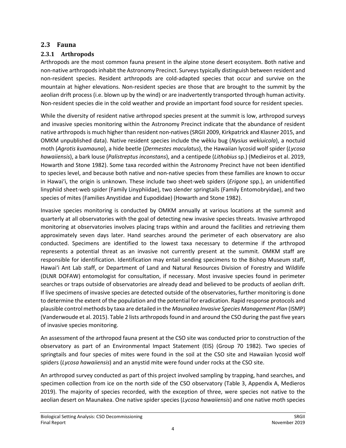#### <span id="page-5-0"></span>**2.3 Fauna**

### <span id="page-5-1"></span>**2.3.1 Arthropods**

Arthropods are the most common fauna present in the alpine stone desert ecosystem. Both native and non-native arthropods inhabit the Astronomy Precinct. Surveys typically distinguish between resident and non-resident species. Resident arthropods are cold-adapted species that occur and survive on the mountain at higher elevations. Non-resident species are those that are brought to the summit by the aeolian drift process (i.e. blown up by the wind) or are inadvertently transported through human activity. Non-resident species die in the cold weather and provide an important food source for resident species.

While the diversity of resident native arthropod species present at the summit is low, arthropod surveys and invasive species monitoring within the Astronomy Precinct indicate that the abundance of resident native arthropods is much higher than resident non-natives(SRGII 2009, Kirkpatrick and Klasner 2015, and OMKM unpublished data). Native resident species include the wēkiu bug (*Nysius wekiuicola*), a noctuid moth (*Agrotis kuamauna*), a hide beetle (*Dermestes maculatus*), the Hawaiian lycosid wolf spider (*Lycosa hawaiiensis*), a bark louse (*Palistreptus inconstans*), and a centipede (*Lithobius* sp.) (Medieiros et al. 2019, Howarth and Stone 1982). Some taxa recorded within the Astronomy Precinct have not been identified to species level, and because both native and non-native species from these families are known to occur in Hawai'i, the origin is unknown. These include two sheet-web spiders (*Erigone* spp.), an unidentified linyphiid sheet-web spider (Family Linyphiidae), two slender springtails (Family Entomobryidae), and two species of mites (Families Anystidae and Eupodidae) (Howarth and Stone 1982).

Invasive species monitoring is conducted by OMKM annually at various locations at the summit and quarterly at all observatories with the goal of detecting new invasive species threats. Invasive arthropod monitoring at observatories involves placing traps within and around the facilities and retrieving them approximately seven days later. Hand searches around the perimeter of each observatory are also conducted. Specimens are identified to the lowest taxa necessary to determine if the arthropod represents a potential threat as an invasive not currently present at the summit. OMKM staff are responsible for identification. Identification may entail sending specimens to the Bishop Museum staff, Hawaiʻi Ant Lab staff, or Department of Land and Natural Resources Division of Forestry and Wildlife (DLNR DOFAW) entomologist for consultation, if necessary. Most invasive species found in perimeter searches or traps outside of observatories are already dead and believed to be products of aeolian drift. If live specimens of invasive species are detected outside of the observatories, further monitoring is done to determine the extent of the population and the potential for eradication. Rapid response protocols and plausible control methods by taxa are detailed in the *Maunakea Invasive Species Management Plan* (ISMP) (Vanderwoude et al. 2015). Table 2 lists arthropods found in and around the CSO during the past five years of invasive species monitoring.

An assessment of the arthropod fauna present at the CSO site was conducted prior to construction of the observatory as part of an Environmental Impact Statement (EIS) (Group 70 1982). Two species of springtails and four species of mites were found in the soil at the CSO site and Hawaiian lycosid wolf spiders (*Lycosa hawaiiensis*) and an anystid mite were found under rocks at the CSO site.

An arthropod survey conducted as part of this project involved sampling by trapping, hand searches, and specimen collection from ice on the north side of the CSO observatory (Table 3, Appendix A, Medieros 2019). The majority of species recorded, with the exception of three, were species not native to the aeolian desert on Maunakea. One native spider species (*Lycosa hawaiiensis*) and one native moth species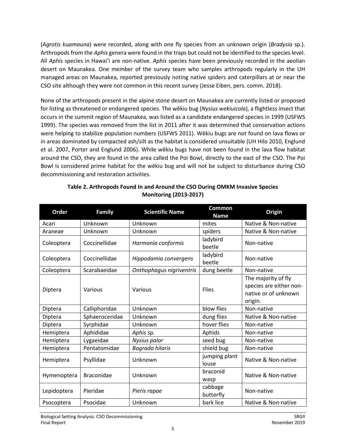(*Agrotis kuamauna*) were recorded, along with one fly species from an unknown origin (*Bradysia* sp.). Arthropods from the *Aphis* genera were found in the traps but could not be identified to the species level. All *Aphis* species in Hawaiʻi are non-native. *Aphis* species have been previously recorded in the aeolian desert on Maunakea. One member of the survey team who samples arthropods regularly in the UH managed areas on Maunakea, reported previously noting native spiders and caterpillars at or near the CSO site although they were not common in this recent survey (Jesse Eiben, pers. comm. 2018).

None of the arthropods present in the alpine stone desert on Maunakea are currently listed or proposed for listing as threatened or endangered species. The wēkiu bug (*Nysius wekiuicola*), a flightless insect that occurs in the summit region of Maunakea, was listed as a candidate endangered species in 1999 (USFWS 1999). The species was removed from the list in 2011 after it was determined that conservation actions were helping to stabilize population numbers (USFWS 2011). Wēkiu bugs are not found on lava flows or in areas dominated by compacted ash/silt as the habitat is considered unsuitable (UH Hilo 2010, Englund et al. 2007, Porter and Englund 2006). While wēkiu bugs have not been found in the lava flow habitat around the CSO, they are found in the area called the Poi Bowl, directly to the east of the CSO. The Poi Bowl is considered prime habitat for the wēkiu bug and will not be subject to disturbance during CSO decommissioning and restoration activities.

| Order       | <b>Family</b>     | <b>Scientific Name</b>   | Common<br><b>Name</b>  | Origin                                                                            |
|-------------|-------------------|--------------------------|------------------------|-----------------------------------------------------------------------------------|
| Acari       | Unknown           | Unknown                  | mites                  | Native & Non-native                                                               |
| Araneae     | Unknown           | Unknown                  | spiders                | Native & Non-native                                                               |
| Coleoptera  | Coccinellidae     | Harmonia conformis       | ladybird<br>beetle     | Non-native                                                                        |
| Coleoptera  | Coccinellidae     | Hippodamia convergens    | ladybird<br>beetle     | Non-native                                                                        |
| Coleoptera  | Scarabaeidae      | Onthophagus nigriventris | dung beetle            | Non-native                                                                        |
| Diptera     | Various           | Various                  | <b>Flies</b>           | The majority of fly<br>species are either non-<br>native or of unknown<br>origin. |
| Diptera     | Calliphoridae     | Unknown                  | blow flies             | Non-native                                                                        |
| Diptera     | Sphaeroceridae    | Unknown                  | dung flies             | Native & Non-native                                                               |
| Diptera     | Syrphidae         | Unknown                  | hover flies            | Non-native                                                                        |
| Hemiptera   | Aphididae         | Aphis sp.                | Aphids                 | Non-native                                                                        |
| Hemiptera   | Lygaeidae         | Nysius palor             | seed bug               | Non-native                                                                        |
| Hemiptera   | Pentatomidae      | Bagrada hilaris          | shield bug             | Non-native                                                                        |
| Hemiptera   | Psyllidae         | Unknown                  | jumping plant<br>louse | Native & Non-native                                                               |
| Hymenoptera | <b>Braconidae</b> | Unknown                  | braconid<br>wasp       | Native & Non-native                                                               |
| Lepidoptera | Pieridae          | Pieris rapae             | cabbage<br>butterfly   | Non-native                                                                        |
| Psocoptera  | Psocidae          | Unknown                  | bark lice              | Native & Non-native                                                               |

#### **Table 2. Arthropods Found In and Around the CSO During OMKM Invasive Species Monitoring (2013-2017)**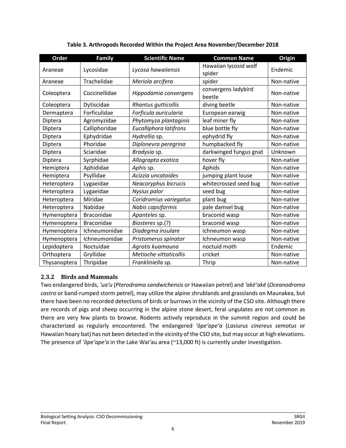| Order        | <b>Family</b>     | <b>Scientific Name</b> | <b>Common Name</b>              | Origin     |
|--------------|-------------------|------------------------|---------------------------------|------------|
| Araneae      | Lycosidae         | Lycosa hawaiiensis     | Hawaiian lycosid wolf<br>spider | Endemic    |
| Araneae      | Trachelidae       | Meriola arcifera       | spider                          | Non-native |
| Coleoptera   | Coccinellidae     | Hippodamia convergens  | convergens ladybird<br>beetle   | Non-native |
| Coleoptera   | Dytiscidae        | Rhantus gutticollis    | diving beetle                   | Non-native |
| Dermaptera   | Forficulidae      | Forficula auricularia  | European earwig                 | Non-native |
| Diptera      | Agromyzidae       | Phytomyza plantaginis  | leaf miner fly                  | Non-native |
| Diptera      | Calliphoridae     | Eucalliphora latifrons | blue bottle fly                 | Non-native |
| Diptera      | Ephydridae        | Hydrellia sp.          | ephydrid fly                    | Non-native |
| Diptera      | Phoridae          | Diplonevra peregrina   | humpbacked fly                  | Non-native |
| Diptera      | Sciaridae         | Bradysia sp.           | darkwinged fungus gnat          | Unknown    |
| Diptera      | Syrphidae         | Allograpta exotica     | hover fly                       | Non-native |
| Hemiptera    | Aphididae         | Aphis sp.              | Aphids                          | Non-native |
| Hemiptera    | Psyllidae         | Acizzia uncatoides     | jumping plant louse             | Non-native |
| Heteroptera  | Lygaeidae         | Neacoryphus bicrucis   | whitecrossed seed bug           | Non-native |
| Heteroptera  | Lygaeidae         | Nysius palor           | seed bug                        | Non-native |
| Heteroptera  | Miridae           | Coridromius variegatus | plant bug                       | Non-native |
| Heteroptera  | Nabidae           | Nabis capsiformis      | pale damsel bug                 | Non-native |
| Hymenoptera  | <b>Braconidae</b> | Apanteles sp.          | braconid wasp                   | Non-native |
| Hymenoptera  | <b>Braconidae</b> | Biosteres sp.(?)       | braconid wasp                   | Non-native |
| Hymenoptera  | Ichneumonidae     | Diadegma insulare      | Ichneumon wasp                  | Non-native |
| Hymenoptera  | Ichneumonidae     | Pristomerus spinator   | Ichneumon wasp                  | Non-native |
| Lepidoptera  | Noctuidae         | Agrotis kuamauna       | noctuid moth                    | Endemic    |
| Orthoptera   | Gryllidae         | Metioche vittaticollis | cricket                         | Non-native |
| Thysanoptera | Thripidae         | Frankliniella sp.      | Thrip                           | Non-native |

#### **Table 3. Arthropods Recorded Within the Project Area November/December 2018**

#### <span id="page-7-0"></span>**2.3.2 Birds and Mammals**

Two endangered birds, *'ua'u* (*Pterodrama sandwichensis* or Hawaiian petrel) and *'akē'akē* (*Oceanodroma castro* or band-rumped storm petrel), may utilize the alpine shrublands and grasslands on Maunakea, but there have been no recorded detections of birds or burrows in the vicinity of the CSO site. Although there are records of pigs and sheep occurring in the alpine stone desert, feral ungulates are not common as there are very few plants to browse. Rodents actively reproduce in the summit region and could be characterized as regularly encountered. The endangered *'ōpe'ape'a* (*Lasiurus cinereus semotus* or Hawaiian hoary bat) has not been detected in the vicinity of the CSO site, but may occur at high elevations. The presence of *'ōpe'ape'a* in the Lake Waiʻau area (~13,000 ft) is currently under investigation.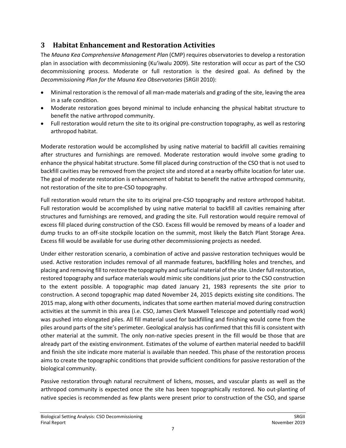# <span id="page-8-0"></span>**3 Habitat Enhancement and Restoration Activities**

The *Mauna Kea Comprehensive Management Plan* (CMP) requires observatories to develop a restoration plan in association with decommissioning (Ku'iwalu 2009). Site restoration will occur as part of the CSO decommissioning process. Moderate or full restoration is the desired goal. As defined by the *Decommissioning Plan for the Mauna Kea Observatories* (SRGII 2010):

- Minimal restoration is the removal of all man-made materials and grading of the site, leaving the area in a safe condition.
- Moderate restoration goes beyond minimal to include enhancing the physical habitat structure to benefit the native arthropod community.
- Full restoration would return the site to its original pre-construction topography, as well as restoring arthropod habitat.

Moderate restoration would be accomplished by using native material to backfill all cavities remaining after structures and furnishings are removed. Moderate restoration would involve some grading to enhance the physical habitat structure. Some fill placed during construction of the CSO that is not used to backfill cavities may be removed from the project site and stored at a nearby offsite location for later use. The goal of moderate restoration is enhancement of habitat to benefit the native arthropod community, not restoration of the site to pre-CSO topography.

Full restoration would return the site to its original pre-CSO topography and restore arthropod habitat. Full restoration would be accomplished by using native material to backfill all cavities remaining after structures and furnishings are removed, and grading the site. Full restoration would require removal of excess fill placed during construction of the CSO. Excess fill would be removed by means of a loader and dump trucks to an off-site stockpile location on the summit, most likely the Batch Plant Storage Area. Excess fill would be available for use during other decommissioning projects as needed.

Under either restoration scenario, a combination of active and passive restoration techniques would be used. Active restoration includes removal of all manmade features, backfilling holes and trenches, and placing and removing fill to restore the topography and surficial material of the site. Under full restoration, restored topography and surface materials would mimic site conditions just prior to the CSO construction to the extent possible. A topographic map dated January 21, 1983 represents the site prior to construction. A second topographic map dated November 24, 2015 depicts existing site conditions. The 2015 map, along with other documents, indicates that some earthen material moved during construction activities at the summit in this area (i.e. CSO, James Clerk Maxwell Telescope and potentially road work) was pushed into elongated piles. All fill material used for backfilling and finishing would come from the piles around parts of the site's perimeter. Geological analysis has confirmed that this fill is consistent with other material at the summit. The only non-native species present in the fill would be those that are already part of the existing environment. Estimates of the volume of earthen material needed to backfill and finish the site indicate more material is available than needed. This phase of the restoration process aims to create the topographic conditions that provide sufficient conditions for passive restoration of the biological community.

Passive restoration through natural recruitment of lichens, mosses, and vascular plants as well as the arthropod community is expected once the site has been topographically restored. No out-planting of native species is recommended as few plants were present prior to construction of the CSO, and sparse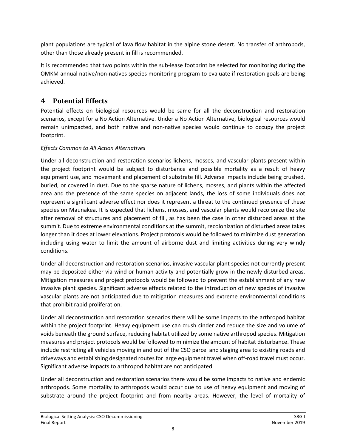plant populations are typical of lava flow habitat in the alpine stone desert. No transfer of arthropods, other than those already present in fill is recommended.

It is recommended that two points within the sub-lease footprint be selected for monitoring during the OMKM annual native/non-natives species monitoring program to evaluate if restoration goals are being achieved.

# <span id="page-9-0"></span>**4 Potential Effects**

Potential effects on biological resources would be same for all the deconstruction and restoration scenarios, except for a No Action Alternative. Under a No Action Alternative, biological resources would remain unimpacted, and both native and non-native species would continue to occupy the project footprint.

#### *Effects Common to All Action Alternatives*

Under all deconstruction and restoration scenarios lichens, mosses, and vascular plants present within the project footprint would be subject to disturbance and possible mortality as a result of heavy equipment use, and movement and placement of substrate fill. Adverse impacts include being crushed, buried, or covered in dust. Due to the sparse nature of lichens, mosses, and plants within the affected area and the presence of the same species on adjacent lands, the loss of some individuals does not represent a significant adverse effect nor does it represent a threat to the continued presence of these species on Maunakea. It is expected that lichens, mosses, and vascular plants would recolonize the site after removal of structures and placement of fill, as has been the case in other disturbed areas at the summit. Due to extreme environmental conditions at the summit, recolonization of disturbed areas takes longer than it does at lower elevations. Project protocols would be followed to minimize dust generation including using water to limit the amount of airborne dust and limiting activities during very windy conditions.

Under all deconstruction and restoration scenarios, invasive vascular plant species not currently present may be deposited either via wind or human activity and potentially grow in the newly disturbed areas. Mitigation measures and project protocols would be followed to prevent the establishment of any new invasive plant species. Significant adverse effects related to the introduction of new species of invasive vascular plants are not anticipated due to mitigation measures and extreme environmental conditions that prohibit rapid proliferation.

Under all deconstruction and restoration scenarios there will be some impacts to the arthropod habitat within the project footprint. Heavy equipment use can crush cinder and reduce the size and volume of voids beneath the ground surface, reducing habitat utilized by some native arthropod species. Mitigation measures and project protocols would be followed to minimize the amount of habitat disturbance. These include restricting all vehicles moving in and out of the CSO parcel and staging area to existing roads and driveways and establishing designated routes for large equipment travel when off-road travel must occur. Significant adverse impacts to arthropod habitat are not anticipated.

Under all deconstruction and restoration scenarios there would be some impacts to native and endemic arthropods. Some mortality to arthropods would occur due to use of heavy equipment and moving of substrate around the project footprint and from nearby areas. However, the level of mortality of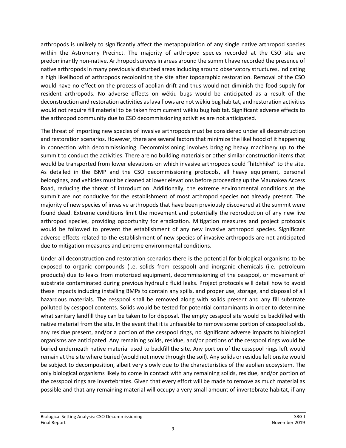arthropods is unlikely to significantly affect the metapopulation of any single native arthropod species within the Astronomy Precinct. The majority of arthropod species recorded at the CSO site are predominantly non-native. Arthropod surveys in areas around the summit have recorded the presence of native arthropods in many previously disturbed areas including around observatory structures, indicating a high likelihood of arthropods recolonizing the site after topographic restoration. Removal of the CSO would have no effect on the process of aeolian drift and thus would not diminish the food supply for resident arthropods. No adverse effects on wēkiu bugs would be anticipated as a result of the deconstruction and restoration activities as lava flows are not wēkiu bug habitat, and restoration activities would not require fill material to be taken from current wēkiu bug habitat. Significant adverse effects to the arthropod community due to CSO decommissioning activities are not anticipated.

The threat of importing new species of invasive arthropods must be considered under all deconstruction and restoration scenarios. However, there are several factors that minimize the likelihood of it happening in connection with decommissioning. Decommissioning involves bringing heavy machinery up to the summit to conduct the activities. There are no building materials or other similar construction items that would be transported from lower elevations on which invasive arthropods could "hitchhike" to the site. As detailed in the ISMP and the CSO decommissioning protocols, all heavy equipment, personal belongings, and vehicles must be cleaned at lower elevations before proceeding up the Maunakea Access Road, reducing the threat of introduction. Additionally, the extreme environmental conditions at the summit are not conducive for the establishment of most arthropod species not already present. The majority of new species of invasive arthropods that have been previously discovered at the summit were found dead. Extreme conditions limit the movement and potentially the reproduction of any new live arthropod species, providing opportunity for eradication. Mitigation measures and project protocols would be followed to prevent the establishment of any new invasive arthropod species. Significant adverse effects related to the establishment of new species of invasive arthropods are not anticipated due to mitigation measures and extreme environmental conditions.

Under all deconstruction and restoration scenarios there is the potential for biological organisms to be exposed to organic compounds (i.e. solids from cesspool) and inorganic chemicals (i.e. petroleum products) due to leaks from motorized equipment, decommissioning of the cesspool, or movement of substrate contaminated during previous hydraulic fluid leaks. Project protocols will detail how to avoid these impacts including installing BMPs to contain any spills, and proper use, storage, and disposal of all hazardous materials. The cesspool shall be removed along with solids present and any fill substrate polluted by cesspool contents. Solids would be tested for potential contaminants in order to determine what sanitary landfill they can be taken to for disposal. The empty cesspool site would be backfilled with native material from the site. In the event that it is unfeasible to remove some portion of cesspool solids, any residue present, and/or a portion of the cesspool rings, no significant adverse impacts to biological organisms are anticipated. Any remaining solids, residue, and/or portions of the cesspool rings would be buried underneath native material used to backfill the site. Any portion of the cesspool rings left would remain at the site where buried (would not move through the soil). Any solids or residue left onsite would be subject to decomposition, albeit very slowly due to the characteristics of the aeolian ecosystem. The only biological organisms likely to come in contact with any remaining solids, residue, and/or portion of the cesspool rings are invertebrates. Given that every effort will be made to remove as much material as possible and that any remaining material will occupy a very small amount of invertebrate habitat, if any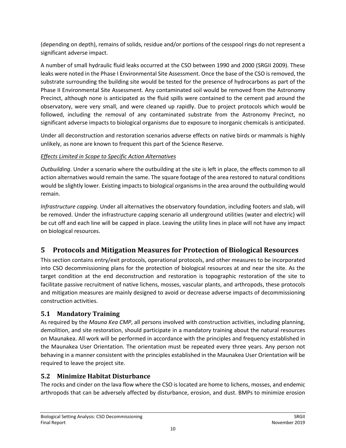(depending on depth), remains of solids, residue and/or portions of the cesspool rings do not represent a significant adverse impact.

A number of small hydraulic fluid leaks occurred at the CSO between 1990 and 2000 (SRGII 2009). These leaks were noted in the Phase I Environmental Site Assessment. Once the base of the CSO is removed, the substrate surrounding the building site would be tested for the presence of hydrocarbons as part of the Phase II Environmental Site Assessment. Any contaminated soil would be removed from the Astronomy Precinct, although none is anticipated as the fluid spills were contained to the cement pad around the observatory, were very small, and were cleaned up rapidly. Due to project protocols which would be followed, including the removal of any contaminated substrate from the Astronomy Precinct, no significant adverse impacts to biological organisms due to exposure to inorganic chemicals is anticipated.

Under all deconstruction and restoration scenarios adverse effects on native birds or mammals is highly unlikely, as none are known to frequent this part of the Science Reserve.

#### *Effects Limited in Scope to Specific Action Alternatives*

*Outbuilding*. Under a scenario where the outbuilding at the site is left in place, the effects common to all action alternatives would remain the same. The square footage of the area restored to natural conditions would be slightly lower. Existing impacts to biological organisms in the area around the outbuilding would remain.

*Infrastructure capping*. Under all alternatives the observatory foundation, including footers and slab, will be removed. Under the infrastructure capping scenario all underground utilities (water and electric) will be cut off and each line will be capped in place. Leaving the utility lines in place will not have any impact on biological resources.

# <span id="page-11-0"></span>**5 Protocols and Mitigation Measures for Protection of Biological Resources**

This section contains entry/exit protocols, operational protocols, and other measures to be incorporated into CSO decommissioning plans for the protection of biological resources at and near the site. As the target condition at the end deconstruction and restoration is topographic restoration of the site to facilitate passive recruitment of native lichens, mosses, vascular plants, and arthropods, these protocols and mitigation measures are mainly designed to avoid or decrease adverse impacts of decommissioning construction activities.

# <span id="page-11-1"></span>**5.1 Mandatory Training**

As required by the *Mauna Kea CMP*, all persons involved with construction activities, including planning, demolition, and site restoration, should participate in a mandatory training about the natural resources on Maunakea. All work will be performed in accordance with the principles and frequency established in the Maunakea User Orientation. The orientation must be repeated every three years. Any person not behaving in a manner consistent with the principles established in the Maunakea User Orientation will be required to leave the project site.

# <span id="page-11-2"></span>**5.2 Minimize Habitat Disturbance**

The rocks and cinder on the lava flow where the CSO is located are home to lichens, mosses, and endemic arthropods that can be adversely affected by disturbance, erosion, and dust. BMPs to minimize erosion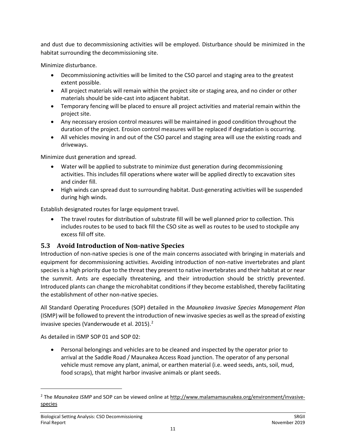and dust due to decommissioning activities will be employed. Disturbance should be minimized in the habitat surrounding the decommissioning site.

Minimize disturbance.

- Decommissioning activities will be limited to the CSO parcel and staging area to the greatest extent possible.
- All project materials will remain within the project site or staging area, and no cinder or other materials should be side-cast into adjacent habitat.
- Temporary fencing will be placed to ensure all project activities and material remain within the project site.
- Any necessary erosion control measures will be maintained in good condition throughout the duration of the project. Erosion control measures will be replaced if degradation is occurring.
- All vehicles moving in and out of the CSO parcel and staging area will use the existing roads and driveways.

Minimize dust generation and spread.

- Water will be applied to substrate to minimize dust generation during decommissioning activities. This includes fill operations where water will be applied directly to excavation sites and cinder fill.
- High winds can spread dust to surrounding habitat. Dust-generating activities will be suspended during high winds.

Establish designated routes for large equipment travel.

• The travel routes for distribution of substrate fill will be well planned prior to collection. This includes routes to be used to back fill the CSO site as well as routes to be used to stockpile any excess fill off site.

# <span id="page-12-0"></span>**5.3 Avoid Introduction of Non-native Species**

Introduction of non-native species is one of the main concerns associated with bringing in materials and equipment for decommissioning activities. Avoiding introduction of non-native invertebrates and plant species is a high priority due to the threat they present to native invertebrates and their habitat at or near the summit. Ants are especially threatening, and their introduction should be strictly prevented. Introduced plants can change the microhabitat conditions if they become established, thereby facilitating the establishment of other non-native species.

All Standard Operating Procedures (SOP) detailed in the *Maunakea Invasive Species Management Plan* (ISMP) will be followed to prevent the introduction of new invasive species as well as the spread of existing invasive species (Vanderwoude et al. [2](#page-12-1)015).<sup>2</sup>

As detailed in ISMP SOP 01 and SOP 02:

• Personal belongings and vehicles are to be cleaned and inspected by the operator prior to arrival at the Saddle Road / Maunakea Access Road junction. The operator of any personal vehicle must remove any plant, animal, or earthen material (i.e. weed seeds, ants, soil, mud, food scraps), that might harbor invasive animals or plant seeds.

 $\overline{\phantom{a}}$ 

<span id="page-12-1"></span><sup>2</sup> The *Maunakea ISMP* and SOP can be viewed online at [http://www.malamamaunakea.org/environment/invasive](http://www.malamamaunakea.org/environment/invasive-species)[species](http://www.malamamaunakea.org/environment/invasive-species)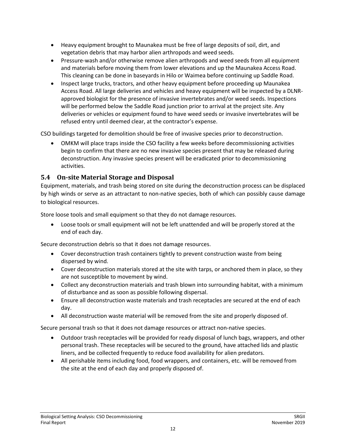- Heavy equipment brought to Maunakea must be free of large deposits of soil, dirt, and vegetation debris that may harbor alien arthropods and weed seeds.
- Pressure-wash and/or otherwise remove alien arthropods and weed seeds from all equipment and materials before moving them from lower elevations and up the Maunakea Access Road. This cleaning can be done in baseyards in Hilo or Waimea before continuing up Saddle Road.
- Inspect large trucks, tractors, and other heavy equipment before proceeding up Maunakea Access Road. All large deliveries and vehicles and heavy equipment will be inspected by a DLNRapproved biologist for the presence of invasive invertebrates and/or weed seeds. Inspections will be performed below the Saddle Road junction prior to arrival at the project site. Any deliveries or vehicles or equipment found to have weed seeds or invasive invertebrates will be refused entry until deemed clear, at the contractor's expense.

CSO buildings targeted for demolition should be free of invasive species prior to deconstruction.

• OMKM will place traps inside the CSO facility a few weeks before decommissioning activities begin to confirm that there are no new invasive species present that may be released during deconstruction. Any invasive species present will be eradicated prior to decommissioning activities.

#### <span id="page-13-0"></span>**5.4 On-site Material Storage and Disposal**

Equipment, materials, and trash being stored on site during the deconstruction process can be displaced by high winds or serve as an attractant to non-native species, both of which can possibly cause damage to biological resources.

Store loose tools and small equipment so that they do not damage resources.

• Loose tools or small equipment will not be left unattended and will be properly stored at the end of each day.

Secure deconstruction debris so that it does not damage resources.

- Cover deconstruction trash containers tightly to prevent construction waste from being dispersed by wind.
- Cover deconstruction materials stored at the site with tarps, or anchored them in place, so they are not susceptible to movement by wind.
- Collect any deconstruction materials and trash blown into surrounding habitat, with a minimum of disturbance and as soon as possible following dispersal.
- Ensure all deconstruction waste materials and trash receptacles are secured at the end of each day.
- All deconstruction waste material will be removed from the site and properly disposed of.

Secure personal trash so that it does not damage resources or attract non-native species.

- Outdoor trash receptacles will be provided for ready disposal of lunch bags, wrappers, and other personal trash. These receptacles will be secured to the ground, have attached lids and plastic liners, and be collected frequently to reduce food availability for alien predators.
- All perishable items including food, food wrappers, and containers, etc. will be removed from the site at the end of each day and properly disposed of.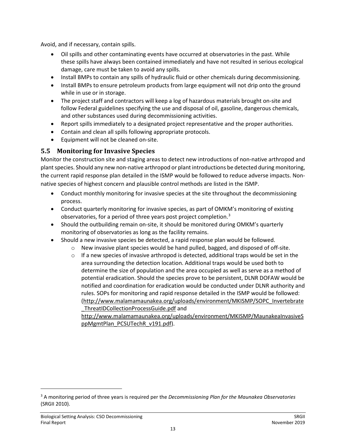Avoid, and if necessary, contain spills.

- Oil spills and other contaminating events have occurred at observatories in the past. While these spills have always been contained immediately and have not resulted in serious ecological damage, care must be taken to avoid any spills.
- Install BMPs to contain any spills of hydraulic fluid or other chemicals during decommissioning.
- Install BMPs to ensure petroleum products from large equipment will not drip onto the ground while in use or in storage.
- The project staff and contractors will keep a log of hazardous materials brought on-site and follow Federal guidelines specifying the use and disposal of oil, gasoline, dangerous chemicals, and other substances used during decommissioning activities.
- Report spills immediately to a designated project representative and the proper authorities.
- Contain and clean all spills following appropriate protocols.
- Equipment will not be cleaned on-site.

### <span id="page-14-0"></span>**5.5 Monitoring for Invasive Species**

Monitor the construction site and staging areas to detect new introductions of non-native arthropod and plant species. Should any new non-native arthropod or plant introductions be detected during monitoring, the current rapid response plan detailed in the ISMP would be followed to reduce adverse impacts. Nonnative species of highest concern and plausible control methods are listed in the ISMP.

- Conduct monthly monitoring for invasive species at the site throughout the decommissioning process.
- Conduct quarterly monitoring for invasive species, as part of OMKM's monitoring of existing observatories, for a period of three years post project completion.<sup>[3](#page-14-1)</sup>
- Should the outbuilding remain on-site, it should be monitored during OMKM's quarterly monitoring of observatories as long as the facility remains.
- Should a new invasive species be detected, a rapid response plan would be followed.
	- $\circ$  New invasive plant species would be hand pulled, bagged, and disposed of off-site.
		- $\circ$  If a new species of invasive arthropod is detected, additional traps would be set in the area surrounding the detection location. Additional traps would be used both to determine the size of population and the area occupied as well as serve as a method of potential eradication. Should the species prove to be persistent, DLNR DOFAW would be notified and coordination for eradication would be conducted under DLNR authority and rules. SOPs for monitoring and rapid response detailed in the ISMP would be followed: [\(http://www.malamamaunakea.org/uploads/environment/MKISMP/SOPC\\_Invertebrate](http://www.malamamaunakea.org/uploads/environment/MKISMP/SOPC_Invertebrate_ThreatIDCollectionProcessGuide.pdf) [\\_ThreatIDCollectionProcessGuide.pdf](http://www.malamamaunakea.org/uploads/environment/MKISMP/SOPC_Invertebrate_ThreatIDCollectionProcessGuide.pdf) and

[http://www.malamamaunakea.org/uploads/environment/MKISMP/MaunakeaInvasiveS](http://www.malamamaunakea.org/uploads/environment/MKISMP/MaunakeaInvasiveSppMgmtPlan_PCSUTechR_v191.pdf) [ppMgmtPlan\\_PCSUTechR\\_v191.pdf\)](http://www.malamamaunakea.org/uploads/environment/MKISMP/MaunakeaInvasiveSppMgmtPlan_PCSUTechR_v191.pdf).

 $\overline{\phantom{a}}$ 

<span id="page-14-1"></span><sup>3</sup> A monitoring period of three years is required per the *Decommissioning Plan for the Maunakea Observatories* (SRGII 2010).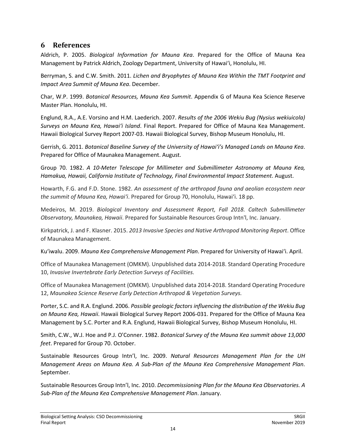#### <span id="page-15-0"></span>**6 References**

Aldrich, P. 2005. *Biological Information for Mauna Kea*. Prepared for the Office of Mauna Kea Management by Patrick Aldrich, Zoology Department, University of Hawai'i, Honolulu, HI.

Berryman, S. and C.W. Smith. 2011. *Lichen and Bryophytes of Mauna Kea Within the TMT Footprint and Impact Area Summit of Mauna Kea*. December.

Char, W.P. 1999. *Botanical Resources, Mauna Kea Summit*. Appendix G of Mauna Kea Science Reserve Master Plan. Honolulu, HI.

Englund, R.A., A.E. Vorsino and H.M. Laederich. 2007. *Results of the 2006 Wekiu Bug (Nysius wekiuicola) Surveys on Mauna Kea, Hawai'i Island*. Final Report. Prepared for Office of Mauna Kea Management. Hawaii Biological Survey Report 2007-03. Hawaii Biological Survey, Bishop Museum Honolulu, HI.

Gerrish, G. 2011. *Botanical Baseline Survey of the University of Hawai'i's Managed Lands on Mauna Kea*. Prepared for Office of Maunakea Management. August.

Group 70. 1982. *A 10-Meter Telescope for Millimeter and Submillimeter Astronomy at Mauna Kea, Hamakua, Hawaii, California Institute of Technology, Final Environmental Impact Statement*. August.

Howarth, F.G. and F.D. Stone. 1982. *An assessment of the arthropod fauna and aeolian ecosystem near the summit of Mauna Kea, Hawai'i*. Prepared for Group 70, Honolulu, Hawai'i. 18 pp.

Medeiros, M. 2019. *Biological Inventory and Assessment Report, Fall 2018. Caltech Submillimeter Observatory, Maunakea, Hawaii*. Prepared for Sustainable Resources Group Intn'l, Inc. January.

Kirkpatrick, J. and F. Klasner. 2015. *2013 Invasive Species and Native Arthropod Monitoring Report*. Office of Maunakea Management.

Ku'iwalu. 2009. *Mauna Kea Comprehensive Management Plan*. Prepared for University of Hawai'i. April.

Office of Maunakea Management (OMKM). Unpublished data 2014-2018. Standard Operating Procedure 10, *Invasive Invertebrate Early Detection Surveys of Facilities.*

Office of Maunakea Management (OMKM). Unpublished data 2014-2018. Standard Operating Procedure 12, *Maunakea Science Reserve Early Detection Arthropod & Vegetation Surveys.*

Porter, S.C. and R.A. Englund. 2006. *Possible geologic factors influencing the distribution of the Wekiu Bug on Mauna Kea, Hawaii*. Hawaii Biological Survey Report 2006-031. Prepared for the Office of Mauna Kea Management by S.C. Porter and R.A. Englund, Hawaii Biological Survey, Bishop Museum Honolulu, HI.

Smith, C.W., W.J. Hoe and P.J. O'Conner. 1982. *Botanical Survey of the Mauna Kea summit above 13,000 feet*. Prepared for Group 70. October.

Sustainable Resources Group Intn'l, Inc. 2009. *Natural Resources Management Plan for the UH Management Areas on Mauna Kea. A Sub-Plan of the Mauna Kea Comprehensive Management Plan*. September.

Sustainable Resources Group Intn'l, Inc. 2010. *Decommissioning Plan for the Mauna Kea Observatories. A Sub-Plan of the Mauna Kea Comprehensive Management Plan*. January.